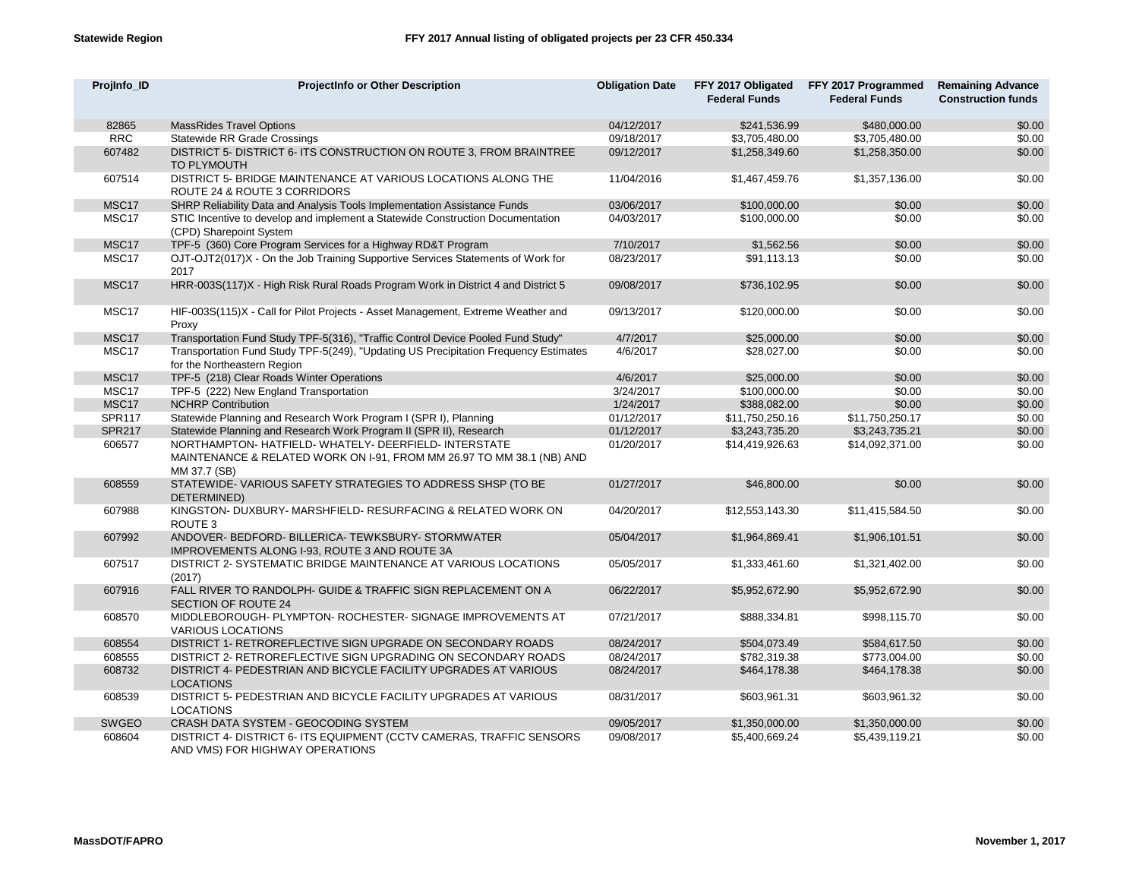| Projinfo ID   | <b>ProjectInfo or Other Description</b>                                                                                                    | <b>Obligation Date</b> | <b>Federal Funds</b> | FFY 2017 Obligated FFY 2017 Programmed<br><b>Federal Funds</b> | <b>Remaining Advance</b><br><b>Construction funds</b> |
|---------------|--------------------------------------------------------------------------------------------------------------------------------------------|------------------------|----------------------|----------------------------------------------------------------|-------------------------------------------------------|
| 82865         | <b>MassRides Travel Options</b>                                                                                                            | 04/12/2017             | \$241,536.99         | \$480,000.00                                                   | \$0.00                                                |
| <b>RRC</b>    | Statewide RR Grade Crossings                                                                                                               | 09/18/2017             | \$3,705,480.00       | \$3,705,480.00                                                 | \$0.00                                                |
| 607482        | DISTRICT 5- DISTRICT 6- ITS CONSTRUCTION ON ROUTE 3, FROM BRAINTREE<br><b>TO PLYMOUTH</b>                                                  | 09/12/2017             | \$1,258,349.60       | \$1,258,350.00                                                 | \$0.00                                                |
| 607514        | DISTRICT 5- BRIDGE MAINTENANCE AT VARIOUS LOCATIONS ALONG THE<br>ROUTE 24 & ROUTE 3 CORRIDORS                                              | 11/04/2016             | \$1,467,459.76       | \$1,357,136.00                                                 | \$0.00                                                |
| MSC17         | SHRP Reliability Data and Analysis Tools Implementation Assistance Funds                                                                   | 03/06/2017             | \$100,000.00         | \$0.00                                                         | \$0.00                                                |
| MSC17         | STIC Incentive to develop and implement a Statewide Construction Documentation<br>(CPD) Sharepoint System                                  | 04/03/2017             | \$100,000.00         | \$0.00                                                         | \$0.00                                                |
| MSC17         | TPF-5 (360) Core Program Services for a Highway RD&T Program                                                                               | 7/10/2017              | \$1,562.56           | \$0.00                                                         | \$0.00                                                |
| MSC17         | OJT-OJT2(017)X - On the Job Training Supportive Services Statements of Work for<br>2017                                                    | 08/23/2017             | \$91,113.13          | \$0.00                                                         | \$0.00                                                |
| MSC17         | HRR-003S(117)X - High Risk Rural Roads Program Work in District 4 and District 5                                                           | 09/08/2017             | \$736,102.95         | \$0.00                                                         | \$0.00                                                |
| MSC17         | HIF-003S(115)X - Call for Pilot Projects - Asset Management, Extreme Weather and<br>Proxy                                                  | 09/13/2017             | \$120,000.00         | \$0.00                                                         | \$0.00                                                |
| MSC17         | Transportation Fund Study TPF-5(316), "Traffic Control Device Pooled Fund Study"                                                           | 4/7/2017               | \$25,000.00          | \$0.00                                                         | \$0.00                                                |
| MSC17         | Transportation Fund Study TPF-5(249), "Updating US Precipitation Frequency Estimates<br>for the Northeastern Region                        | 4/6/2017               | \$28,027.00          | \$0.00                                                         | \$0.00                                                |
| MSC17         | TPF-5 (218) Clear Roads Winter Operations                                                                                                  | 4/6/2017               | \$25,000.00          | \$0.00                                                         | \$0.00                                                |
| MSC17         | TPF-5 (222) New England Transportation                                                                                                     | 3/24/2017              | \$100,000.00         | \$0.00                                                         | \$0.00                                                |
| MSC17         | <b>NCHRP Contribution</b>                                                                                                                  | 1/24/2017              | \$388,082.00         | \$0.00                                                         | \$0.00                                                |
| <b>SPR117</b> | Statewide Planning and Research Work Program I (SPR I), Planning                                                                           | 01/12/2017             | \$11,750,250.16      | \$11,750,250.17                                                | \$0.00                                                |
| <b>SPR217</b> | Statewide Planning and Research Work Program II (SPR II), Research                                                                         | 01/12/2017             | \$3,243,735.20       | \$3,243,735.21                                                 | \$0.00                                                |
| 606577        | NORTHAMPTON-HATFIELD-WHATELY-DEERFIELD-INTERSTATE<br>MAINTENANCE & RELATED WORK ON I-91, FROM MM 26.97 TO MM 38.1 (NB) AND<br>MM 37.7 (SB) | 01/20/2017             | \$14,419,926.63      | \$14,092,371.00                                                | \$0.00                                                |
| 608559        | STATEWIDE-VARIOUS SAFETY STRATEGIES TO ADDRESS SHSP (TO BE<br>DETERMINED)                                                                  | 01/27/2017             | \$46,800.00          | \$0.00                                                         | \$0.00                                                |
| 607988        | KINGSTON- DUXBURY- MARSHFIELD- RESURFACING & RELATED WORK ON<br>ROUTE 3                                                                    | 04/20/2017             | \$12,553,143.30      | \$11,415,584.50                                                | \$0.00                                                |
| 607992        | ANDOVER- BEDFORD- BILLERICA- TEWKSBURY- STORMWATER<br>IMPROVEMENTS ALONG I-93, ROUTE 3 AND ROUTE 3A                                        | 05/04/2017             | \$1,964,869.41       | \$1,906,101.51                                                 | \$0.00                                                |
| 607517        | DISTRICT 2- SYSTEMATIC BRIDGE MAINTENANCE AT VARIOUS LOCATIONS<br>(2017)                                                                   | 05/05/2017             | \$1,333,461.60       | \$1,321,402.00                                                 | \$0.00                                                |
| 607916        | FALL RIVER TO RANDOLPH- GUIDE & TRAFFIC SIGN REPLACEMENT ON A<br><b>SECTION OF ROUTE 24</b>                                                | 06/22/2017             | \$5,952,672.90       | \$5,952,672.90                                                 | \$0.00                                                |
| 608570        | MIDDLEBOROUGH- PLYMPTON- ROCHESTER- SIGNAGE IMPROVEMENTS AT<br>VARIOUS LOCATIONS                                                           | 07/21/2017             | \$888,334.81         | \$998,115.70                                                   | \$0.00                                                |
| 608554        | DISTRICT 1- RETROREFLECTIVE SIGN UPGRADE ON SECONDARY ROADS                                                                                | 08/24/2017             | \$504,073.49         | \$584.617.50                                                   | \$0.00                                                |
| 608555        | DISTRICT 2- RETROREFLECTIVE SIGN UPGRADING ON SECONDARY ROADS                                                                              | 08/24/2017             | \$782,319.38         | \$773,004.00                                                   | \$0.00                                                |
| 608732        | DISTRICT 4- PEDESTRIAN AND BICYCLE FACILITY UPGRADES AT VARIOUS<br><b>LOCATIONS</b>                                                        | 08/24/2017             | \$464,178.38         | \$464,178.38                                                   | \$0.00                                                |
| 608539        | DISTRICT 5- PEDESTRIAN AND BICYCLE FACILITY UPGRADES AT VARIOUS<br><b>LOCATIONS</b>                                                        | 08/31/2017             | \$603,961.31         | \$603,961.32                                                   | \$0.00                                                |
| <b>SWGEO</b>  | CRASH DATA SYSTEM - GEOCODING SYSTEM                                                                                                       | 09/05/2017             | \$1,350,000.00       | \$1,350,000.00                                                 | \$0.00                                                |
| 608604        | DISTRICT 4- DISTRICT 6- ITS EQUIPMENT (CCTV CAMERAS, TRAFFIC SENSORS<br>AND VMS) FOR HIGHWAY OPERATIONS                                    | 09/08/2017             | \$5,400,669.24       | \$5,439,119.21                                                 | \$0.00                                                |